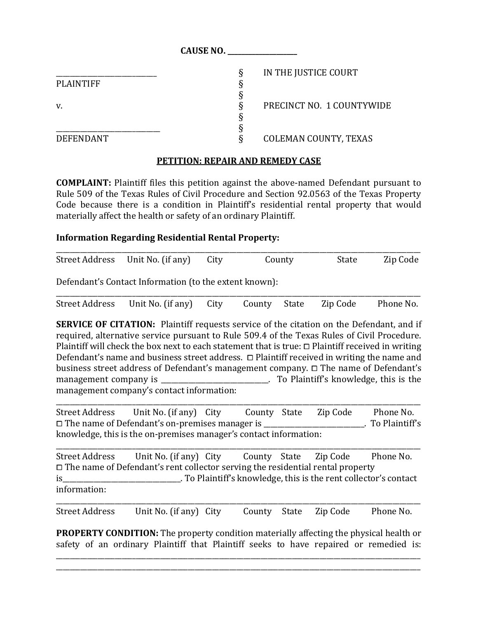|                  | <b>CAUSE NO.</b>             |  |
|------------------|------------------------------|--|
|                  | IN THE JUSTICE COURT<br>δ    |  |
| <b>PLAINTIFF</b> |                              |  |
|                  |                              |  |
| v.               | PRECINCT NO. 1 COUNTYWIDE    |  |
|                  |                              |  |
|                  |                              |  |
| <b>DEFENDANT</b> | <b>COLEMAN COUNTY, TEXAS</b> |  |

## **PETITION: REPAIR AND REMEDY CASE**

**COMPLAINT:** Plaintiff files this petition against the above-named Defendant pursuant to Rule 509 of the Texas Rules of Civil Procedure and Section 92.0563 of the Texas Property Code because there is a condition in Plaintiff's residential rental property that would materially affect the health or safety of an ordinary Plaintiff.

## **Information Regarding Residential Rental Property:**

|  | County                                | Zip Code |
|--|---------------------------------------|----------|
|  | Street Address Unit No. (if any) City | State    |

Defendant's Contact Information (to the extent known):

| Street Address Unit No. (if any) City County State Zip Code Phone No. |  |  |  |
|-----------------------------------------------------------------------|--|--|--|

**SERVICE OF CITATION:** Plaintiff requests service of the citation on the Defendant, and if required, alternative service pursuant to Rule 509.4 of the Texas Rules of Civil Procedure. Plaintiff will check the box next to each statement that is true:  $\Box$  Plaintiff received in writing Defendant's name and business street address.  $\Box$  Plaintiff received in writing the name and business street address of Defendant's management company. ⧠ The name of Defendant's management company is **Exercise 20** To Plaintiff's knowledge, this is the management company's contact information:

Street Address Unit No. (if any) City County State Zip Code Phone No. □ The name of Defendant's on-premises manager is \_\_\_\_\_\_\_\_\_\_\_\_\_\_\_\_\_\_\_\_\_\_\_. To Plaintiff's knowledge, this is the on-premises manager's contact information:

\_\_\_\_\_\_\_\_\_\_\_\_\_\_\_\_\_\_\_\_\_\_\_\_\_\_\_\_\_\_\_\_\_\_\_\_\_\_\_\_\_\_\_\_\_\_\_\_\_\_\_\_\_\_\_\_\_\_\_\_\_\_\_\_\_\_\_\_\_\_\_\_\_\_\_\_\_\_\_\_\_\_\_\_\_\_\_\_\_\_\_\_\_\_\_\_\_\_\_\_\_\_\_\_\_

\_\_\_\_\_\_\_\_\_\_\_\_\_\_\_\_\_\_\_\_\_\_\_\_\_\_\_\_\_\_\_\_\_\_\_\_\_\_\_\_\_\_\_\_\_\_\_\_\_\_\_\_\_\_\_\_\_\_\_\_\_\_\_\_\_\_\_\_\_\_\_\_\_\_\_\_\_\_\_\_\_\_\_\_\_\_\_\_\_\_\_\_\_\_\_\_\_\_\_\_\_\_\_\_\_ Street Address Unit No. (if any) City County State Zip Code Phone No.  $\Box$  The name of Defendant's rent collector serving the residential rental property is is the rent collector's contact is the rent collector's contact is the rent collector's contact information: \_\_\_\_\_\_\_\_\_\_\_\_\_\_\_\_\_\_\_\_\_\_\_\_\_\_\_\_\_\_\_\_\_\_\_\_\_\_\_\_\_\_\_\_\_\_\_\_\_\_\_\_\_\_\_\_\_\_\_\_\_\_\_\_\_\_\_\_\_\_\_\_\_\_\_\_\_\_\_\_\_\_\_\_\_\_\_\_\_\_\_\_\_\_\_\_\_\_\_\_\_\_\_\_\_

Street Address Unit No. (if any) City County State Zip Code Phone No.

**PROPERTY CONDITION:** The property condition materially affecting the physical health or safety of an ordinary Plaintiff that Plaintiff seeks to have repaired or remedied is:

\_\_\_\_\_\_\_\_\_\_\_\_\_\_\_\_\_\_\_\_\_\_\_\_\_\_\_\_\_\_\_\_\_\_\_\_\_\_\_\_\_\_\_\_\_\_\_\_\_\_\_\_\_\_\_\_\_\_\_\_\_\_\_\_\_\_\_\_\_\_\_\_\_\_\_\_\_\_\_\_\_\_\_\_\_\_\_\_\_\_\_\_\_\_\_\_\_\_\_\_\_\_\_\_\_ \_\_\_\_\_\_\_\_\_\_\_\_\_\_\_\_\_\_\_\_\_\_\_\_\_\_\_\_\_\_\_\_\_\_\_\_\_\_\_\_\_\_\_\_\_\_\_\_\_\_\_\_\_\_\_\_\_\_\_\_\_\_\_\_\_\_\_\_\_\_\_\_\_\_\_\_\_\_\_\_\_\_\_\_\_\_\_\_\_\_\_\_\_\_\_\_\_\_\_\_\_\_\_\_\_